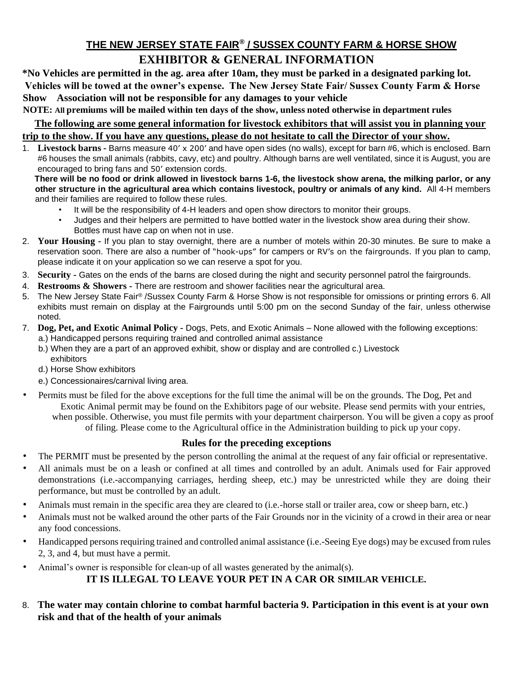## **THE NEW JERSEY STATE FAIR® / SUSSEX COUNTY FARM & HORSE SHOW EXHIBITOR & GENERAL INFORMATION**

**\*No Vehicles are permitted in the ag. area after 10am, they must be parked in a designated parking lot. Vehicles will be towed at the owner's expense. The New Jersey State Fair/ Sussex County Farm & Horse Show Association will not be responsible for any damages to your vehicle NOTE: All premiums will be mailed within ten days of the show, unless noted otherwise in department rules** 

**The following are some general information for livestock exhibitors that will assist you in planning your trip to the show. If you have any questions, please do not hesitate to call the Director of your show.**

1. **Livestock barns -** Barns measure 40' x 200' and have open sides (no walls), except for barn #6, which is enclosed. Barn #6 houses the small animals (rabbits, cavy, etc) and poultry. Although barns are well ventilated, since it is August, you are encouraged to bring fans and 50' extension cords.

**There will be no food or drink allowed in livestock barns 1-6, the livestock show arena, the milking parlor, or any other structure in the agricultural area which contains livestock, poultry or animals of any kind.** All 4-H members and their families are required to follow these rules.

- It will be the responsibility of 4-H leaders and open show directors to monitor their groups.
- Judges and their helpers are permitted to have bottled water in the livestock show area during their show. Bottles must have cap on when not in use.
- 2. **Your Housing -** If you plan to stay overnight, there are a number of motels within 20-30 minutes. Be sure to make a reservation soon. There are also a number of "hook-ups" for campers or RV's on the fairgrounds. If you plan to camp, please indicate it on your application so we can reserve a spot for you.
- 3. **Security -** Gates on the ends of the barns are closed during the night and security personnel patrol the fairgrounds.
- 4. **Restrooms & Showers -** There are restroom and shower facilities near the agricultural area.
- 5. The New Jersey State Fair® /Sussex County Farm & Horse Show is not responsible for omissions or printing errors 6. All exhibits must remain on display at the Fairgrounds until 5:00 pm on the second Sunday of the fair, unless otherwise noted.
- 7. **Dog, Pet, and Exotic Animal Policy -** Dogs, Pets, and Exotic Animals None allowed with the following exceptions:
	- a.) Handicapped persons requiring trained and controlled animal assistance
	- b.) When they are a part of an approved exhibit, show or display and are controlled c.) Livestock exhibitors
	- d.) Horse Show exhibitors
	- e.) Concessionaires/carnival living area.
- Permits must be filed for the above exceptions for the full time the animal will be on the grounds. The Dog, Pet and Exotic Animal permit may be found on the Exhibitors page of our website. Please send permits with your entries, when possible. Otherwise, you must file permits with your department chairperson. You will be given a copy as proof of filing. Please come to the Agricultural office in the Administration building to pick up your copy.

#### **Rules for the preceding exceptions**

- The PERMIT must be presented by the person controlling the animal at the request of any fair official or representative.
- All animals must be on a leash or confined at all times and controlled by an adult. Animals used for Fair approved demonstrations (i.e.-accompanying carriages, herding sheep, etc.) may be unrestricted while they are doing their performance, but must be controlled by an adult.
- Animals must remain in the specific area they are cleared to (i.e.-horse stall or trailer area, cow or sheep barn, etc.)
- Animals must not be walked around the other parts of the Fair Grounds nor in the vicinity of a crowd in their area or near any food concessions.
- Handicapped persons requiring trained and controlled animal assistance (i.e.-Seeing Eye dogs) may be excused from rules 2, 3, and 4, but must have a permit.
- Animal's owner is responsible for clean-up of all wastes generated by the animal(s).

#### **IT IS ILLEGAL TO LEAVE YOUR PET IN A CAR OR SIMILAR VEHICLE.**

8. **The water may contain chlorine to combat harmful bacteria 9. Participation in this event is at your own risk and that of the health of your animals**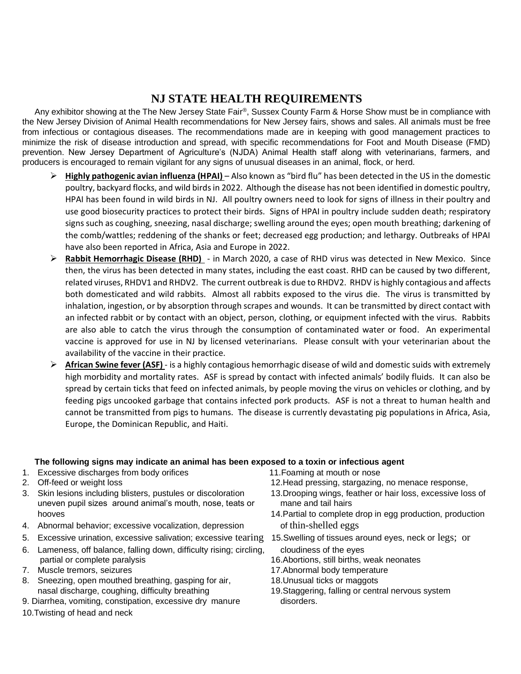## **NJ STATE HEALTH REQUIREMENTS**

Any exhibitor showing at the The New Jersey State Fair<sup>®</sup>, Sussex County Farm & Horse Show must be in compliance with the New Jersey Division of Animal Health recommendations for New Jersey fairs, shows and sales. All animals must be free from infectious or contagious diseases. The recommendations made are in keeping with good management practices to minimize the risk of disease introduction and spread, with specific recommendations for Foot and Mouth Disease (FMD) prevention. New Jersey Department of Agriculture's (NJDA) Animal Health staff along with veterinarians, farmers, and producers is encouraged to remain vigilant for any signs of unusual diseases in an animal, flock, or herd.

- ➢ **Highly pathogenic avian influenza (HPAI)**  Also known as "bird flu" has been detected in the US in the domestic poultry, backyard flocks, and wild birds in 2022. Although the disease has not been identified in domestic poultry, HPAI has been found in wild birds in NJ. All poultry owners need to look for signs of illness in their poultry and use good biosecurity practices to protect their birds. Signs of HPAI in poultry include sudden death; respiratory signs such as coughing, sneezing, nasal discharge; swelling around the eyes; open mouth breathing; darkening of the comb/wattles; reddening of the shanks or feet; decreased egg production; and lethargy. Outbreaks of HPAI have also been reported in Africa, Asia and Europe in 2022.
- ➢ **Rabbit Hemorrhagic Disease (RHD)**  in March 2020, a case of RHD virus was detected in New Mexico. Since then, the virus has been detected in many states, including the east coast. RHD can be caused by two different, related viruses, RHDV1 and RHDV2. The current outbreak is due to RHDV2. RHDV is highly contagious and affects both domesticated and wild rabbits. Almost all rabbits exposed to the virus die. The virus is transmitted by inhalation, ingestion, or by absorption through scrapes and wounds. It can be transmitted by direct contact with an infected rabbit or by contact with an object, person, clothing, or equipment infected with the virus. Rabbits are also able to catch the virus through the consumption of contaminated water or food. An experimental vaccine is approved for use in NJ by licensed veterinarians. Please consult with your veterinarian about the availability of the vaccine in their practice.
- ➢ **African Swine fever (ASF)**  is a highly contagious hemorrhagic disease of wild and domestic suids with extremely high morbidity and mortality rates. ASF is spread by contact with infected animals' bodily fluids. It can also be spread by certain ticks that feed on infected animals, by people moving the virus on vehicles or clothing, and by feeding pigs uncooked garbage that contains infected pork products. ASF is not a threat to human health and cannot be transmitted from pigs to humans. The disease is currently devastating pig populations in Africa, Asia, Europe, the Dominican Republic, and Haiti.

#### **The following signs may indicate an animal has been exposed to a toxin or infectious agent**

- 1. Excessive discharges from body orifices 11.Foaming at mouth or nose
- 
- 3. Skin lesions including blisters, pustules or discoloration 13.Drooping wings, feather or hair loss, excessive loss of uneven pupil sizes around animal's mouth, nose, teats or mane and tail hairs hooves **14.Partial to complete drop in egg production**, production
- 4. Abnormal behavior; excessive vocalization, depression of thin-shelled eggs
- 5. Excessive urination, excessive salivation; excessive tearing 15.Swelling of tissues around eyes, neck or legs; or
- 6. Lameness, off balance, falling down, difficulty rising; circling, cloudiness of the eyes partial or complete paralysis 16.Abortions, still births, weak neonates
- 
- 8. Sneezing, open mouthed breathing, gasping for air, 18. Unusual ticks or maggots nasal discharge, coughing, difficulty breathing 19.Staggering, falling or central nervous system
- 9. Diarrhea, vomiting, constipation, excessive dry manure disorders.
- 10.Twisting of head and neck
- 
- 2. Off-feed or weight loss 12.Head pressing, stargazing, no menace response,
	-
	-
	-
	-
- 7. Muscle tremors, seizures 17.Abnormal body temperature
	-
	-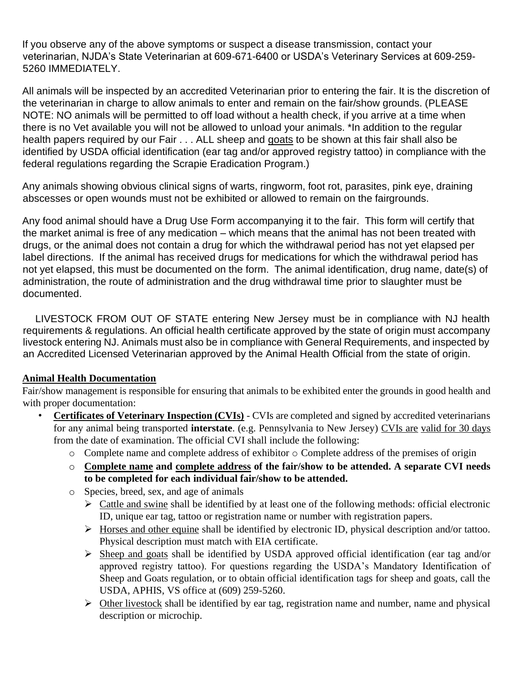If you observe any of the above symptoms or suspect a disease transmission, contact your veterinarian, NJDA's State Veterinarian at 609-671-6400 or USDA's Veterinary Services at 609-259- 5260 IMMEDIATELY.

All animals will be inspected by an accredited Veterinarian prior to entering the fair. It is the discretion of the veterinarian in charge to allow animals to enter and remain on the fair/show grounds. (PLEASE NOTE: NO animals will be permitted to off load without a health check, if you arrive at a time when there is no Vet available you will not be allowed to unload your animals. \*In addition to the regular health papers required by our Fair . . . ALL sheep and goats to be shown at this fair shall also be identified by USDA official identification (ear tag and/or approved registry tattoo) in compliance with the federal regulations regarding the Scrapie Eradication Program.)

Any animals showing obvious clinical signs of warts, ringworm, foot rot, parasites, pink eye, draining abscesses or open wounds must not be exhibited or allowed to remain on the fairgrounds.

Any food animal should have a Drug Use Form accompanying it to the fair. This form will certify that the market animal is free of any medication – which means that the animal has not been treated with drugs, or the animal does not contain a drug for which the withdrawal period has not yet elapsed per label directions. If the animal has received drugs for medications for which the withdrawal period has not yet elapsed, this must be documented on the form. The animal identification, drug name, date(s) of administration, the route of administration and the drug withdrawal time prior to slaughter must be documented.

LIVESTOCK FROM OUT OF STATE entering New Jersey must be in compliance with NJ health requirements & regulations. An official health certificate approved by the state of origin must accompany livestock entering NJ. Animals must also be in compliance with General Requirements, and inspected by an Accredited Licensed Veterinarian approved by the Animal Health Official from the state of origin.

## **Animal Health Documentation**

Fair/show management is responsible for ensuring that animals to be exhibited enter the grounds in good health and with proper documentation:

- **Certificates of Veterinary Inspection (CVIs)** CVIs are completed and signed by accredited veterinarians for any animal being transported **interstate**. (e.g. Pennsylvania to New Jersey) CVIs are valid for 30 days from the date of examination. The official CVI shall include the following:
	- o Complete name and complete address of exhibitor o Complete address of the premises of origin
	- o **Complete name and complete address of the fair/show to be attended. A separate CVI needs to be completed for each individual fair/show to be attended.**
	- o Species, breed, sex, and age of animals
		- $\triangleright$  Cattle and swine shall be identified by at least one of the following methods: official electronic ID, unique ear tag, tattoo or registration name or number with registration papers.
		- ➢ Horses and other equine shall be identified by electronic ID, physical description and/or tattoo. Physical description must match with EIA certificate.
		- ➢ Sheep and goats shall be identified by USDA approved official identification (ear tag and/or approved registry tattoo). For questions regarding the USDA's Mandatory Identification of Sheep and Goats regulation, or to obtain official identification tags for sheep and goats, call the USDA, APHIS, VS office at (609) 259-5260.
		- $\triangleright$  Other livestock shall be identified by ear tag, registration name and number, name and physical description or microchip.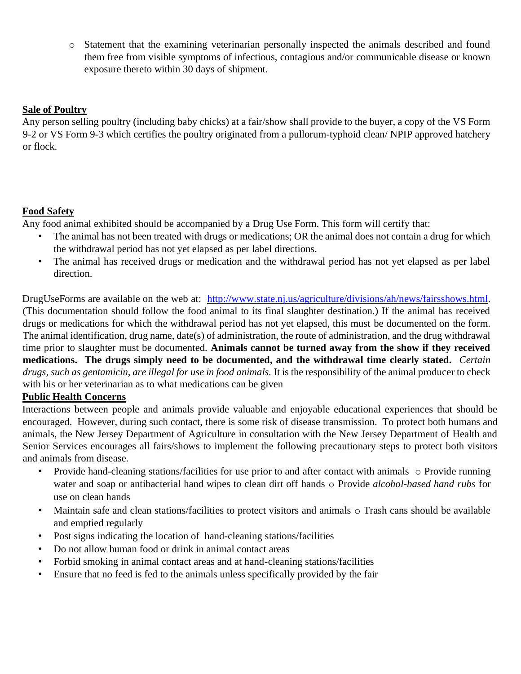o Statement that the examining veterinarian personally inspected the animals described and found them free from visible symptoms of infectious, contagious and/or communicable disease or known exposure thereto within 30 days of shipment.

### **Sale of Poultry**

Any person selling poultry (including baby chicks) at a fair/show shall provide to the buyer, a copy of the VS Form 9-2 or VS Form 9-3 which certifies the poultry originated from a pullorum-typhoid clean/ NPIP approved hatchery or flock.

## **Food Safety**

Any food animal exhibited should be accompanied by a Drug Use Form. This form will certify that:

- The animal has not been treated with drugs or medications; OR the animal does not contain a drug for which the withdrawal period has not yet elapsed as per label directions.
- The animal has received drugs or medication and the withdrawal period has not yet elapsed as per label direction.

DrugUseForms are available on the web at: [http://www.state.nj.us/agriculture/divisions/ah/news/fairsshows.html.](http://www.state.nj.us/agriculture/divisions/ah/news/fairsshows.html) (This documentation should follow the food animal to its final slaughter destination.) If the animal has received drugs or medications for which the withdrawal period has not yet elapsed, this must be documented on the form. The animal identification, drug name, date(s) of administration, the route of administration, and the drug withdrawal time prior to slaughter must be documented. **Animals cannot be turned away from the show if they received medications. The drugs simply need to be documented, and the withdrawal time clearly stated.** *Certain drugs, such as gentamicin, are illegal for use in food animals.* It is the responsibility of the animal producer to check with his or her veterinarian as to what medications can be given

#### **Public Health Concerns**

Interactions between people and animals provide valuable and enjoyable educational experiences that should be encouraged. However, during such contact, there is some risk of disease transmission. To protect both humans and animals, the New Jersey Department of Agriculture in consultation with the New Jersey Department of Health and Senior Services encourages all fairs/shows to implement the following precautionary steps to protect both visitors and animals from disease.

- Provide hand-cleaning stations/facilities for use prior to and after contact with animals o Provide running water and soap or antibacterial hand wipes to clean dirt off hands o Provide *alcohol-based hand rubs* for use on clean hands
- Maintain safe and clean stations/facilities to protect visitors and animals o Trash cans should be available and emptied regularly
- Post signs indicating the location of hand-cleaning stations/facilities
- Do not allow human food or drink in animal contact areas
- Forbid smoking in animal contact areas and at hand-cleaning stations/facilities
- Ensure that no feed is fed to the animals unless specifically provided by the fair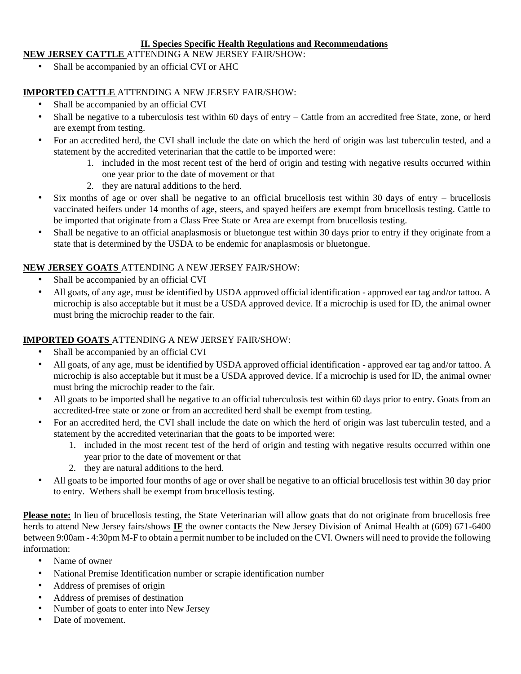#### **II. Species Specific Health Regulations and Recommendations**

#### **NEW JERSEY CATTLE** ATTENDING A NEW JERSEY FAIR/SHOW:

Shall be accompanied by an official CVI or AHC

### **IMPORTED CATTLE** ATTENDING A NEW JERSEY FAIR/SHOW:

- Shall be accompanied by an official CVI
- Shall be negative to a tuberculosis test within 60 days of entry Cattle from an accredited free State, zone, or herd are exempt from testing.
- For an accredited herd, the CVI shall include the date on which the herd of origin was last tuberculin tested, and a statement by the accredited veterinarian that the cattle to be imported were:
	- 1. included in the most recent test of the herd of origin and testing with negative results occurred within one year prior to the date of movement or that
	- 2. they are natural additions to the herd.
- Six months of age or over shall be negative to an official brucellosis test within 30 days of entry brucellosis vaccinated heifers under 14 months of age, steers, and spayed heifers are exempt from brucellosis testing. Cattle to be imported that originate from a Class Free State or Area are exempt from brucellosis testing.
- Shall be negative to an official anaplasmosis or bluetongue test within 30 days prior to entry if they originate from a state that is determined by the USDA to be endemic for anaplasmosis or bluetongue.

## **NEW JERSEY GOATS** ATTENDING A NEW JERSEY FAIR/SHOW:

- Shall be accompanied by an official CVI
- All goats, of any age, must be identified by USDA approved official identification approved ear tag and/or tattoo. A microchip is also acceptable but it must be a USDA approved device. If a microchip is used for ID, the animal owner must bring the microchip reader to the fair.

## **IMPORTED GOATS** ATTENDING A NEW JERSEY FAIR/SHOW:

- Shall be accompanied by an official CVI
- All goats, of any age, must be identified by USDA approved official identification approved ear tag and/or tattoo. A microchip is also acceptable but it must be a USDA approved device. If a microchip is used for ID, the animal owner must bring the microchip reader to the fair.
- All goats to be imported shall be negative to an official tuberculosis test within 60 days prior to entry. Goats from an accredited-free state or zone or from an accredited herd shall be exempt from testing.
- For an accredited herd, the CVI shall include the date on which the herd of origin was last tuberculin tested, and a statement by the accredited veterinarian that the goats to be imported were:
	- 1. included in the most recent test of the herd of origin and testing with negative results occurred within one year prior to the date of movement or that
	- 2. they are natural additions to the herd.
- All goats to be imported four months of age or over shall be negative to an official brucellosis test within 30 day prior to entry. Wethers shall be exempt from brucellosis testing.

**Please note:** In lieu of brucellosis testing, the State Veterinarian will allow goats that do not originate from brucellosis free herds to attend New Jersey fairs/shows **IF** the owner contacts the New Jersey Division of Animal Health at (609) 671-6400 between 9:00am - 4:30pm M-F to obtain a permit number to be included on the CVI. Owners will need to provide the following information:

- Name of owner
- National Premise Identification number or scrapie identification number
- Address of premises of origin
- Address of premises of destination
- Number of goats to enter into New Jersey
- Date of movement.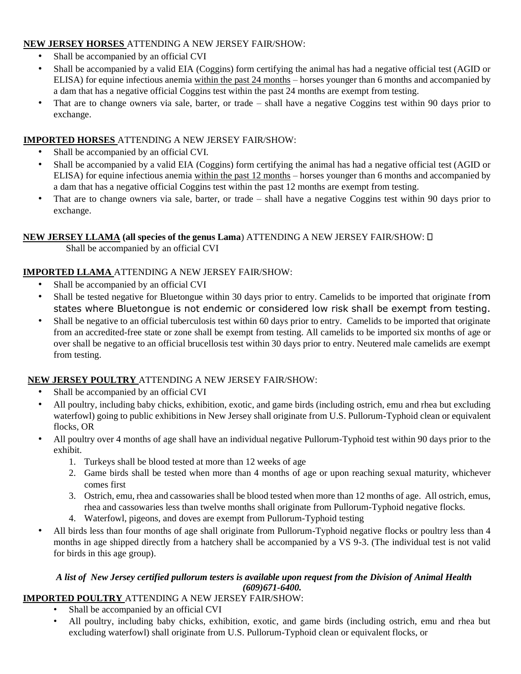#### **NEW JERSEY HORSES** ATTENDING A NEW JERSEY FAIR/SHOW:

- Shall be accompanied by an official CVI
- Shall be accompanied by a valid EIA (Coggins) form certifying the animal has had a negative official test (AGID or ELISA) for equine infectious anemia within the past 24 months – horses younger than 6 months and accompanied by a dam that has a negative official Coggins test within the past 24 months are exempt from testing.
- That are to change owners via sale, barter, or trade shall have a negative Coggins test within 90 days prior to exchange.

#### **IMPORTED HORSES** ATTENDING A NEW JERSEY FAIR/SHOW:

- Shall be accompanied by an official CVI.
- Shall be accompanied by a valid EIA (Coggins) form certifying the animal has had a negative official test (AGID or ELISA) for equine infectious anemia within the past 12 months – horses younger than 6 months and accompanied by a dam that has a negative official Coggins test within the past 12 months are exempt from testing.
- That are to change owners via sale, barter, or trade shall have a negative Coggins test within 90 days prior to exchange.

## **NEW JERSEY LLAMA (all species of the genus Lama**) ATTENDING A NEW JERSEY FAIR/SHOW:

Shall be accompanied by an official CVI

#### **IMPORTED LLAMA** ATTENDING A NEW JERSEY FAIR/SHOW:

- Shall be accompanied by an official CVI
- Shall be tested negative for Bluetongue within 30 days prior to entry. Camelids to be imported that originate from states where Bluetongue is not endemic or considered low risk shall be exempt from testing.
- Shall be negative to an official tuberculosis test within 60 days prior to entry. Camelids to be imported that originate from an accredited-free state or zone shall be exempt from testing. All camelids to be imported six months of age or over shall be negative to an official brucellosis test within 30 days prior to entry. Neutered male camelids are exempt from testing.

#### **NEW JERSEY POULTRY** ATTENDING A NEW JERSEY FAIR/SHOW:

- Shall be accompanied by an official CVI
- All poultry, including baby chicks, exhibition, exotic, and game birds (including ostrich, emu and rhea but excluding waterfowl) going to public exhibitions in New Jersey shall originate from U.S. Pullorum-Typhoid clean or equivalent flocks, OR
- All poultry over 4 months of age shall have an individual negative Pullorum-Typhoid test within 90 days prior to the exhibit.
	- 1. Turkeys shall be blood tested at more than 12 weeks of age
	- 2. Game birds shall be tested when more than 4 months of age or upon reaching sexual maturity, whichever comes first
	- 3. Ostrich, emu, rhea and cassowaries shall be blood tested when more than 12 months of age. All ostrich, emus, rhea and cassowaries less than twelve months shall originate from Pullorum-Typhoid negative flocks.
	- 4. Waterfowl, pigeons, and doves are exempt from Pullorum-Typhoid testing
- All birds less than four months of age shall originate from Pullorum-Typhoid negative flocks or poultry less than 4 months in age shipped directly from a hatchery shall be accompanied by a VS 9-3. (The individual test is not valid for birds in this age group).

#### *A list of New Jersey certified pullorum testers is available upon request from the Division of Animal Health (609)671-6400.*

#### **IMPORTED POULTRY** ATTENDING A NEW JERSEY FAIR/SHOW:

- Shall be accompanied by an official CVI
- All poultry, including baby chicks, exhibition, exotic, and game birds (including ostrich, emu and rhea but excluding waterfowl) shall originate from U.S. Pullorum-Typhoid clean or equivalent flocks, or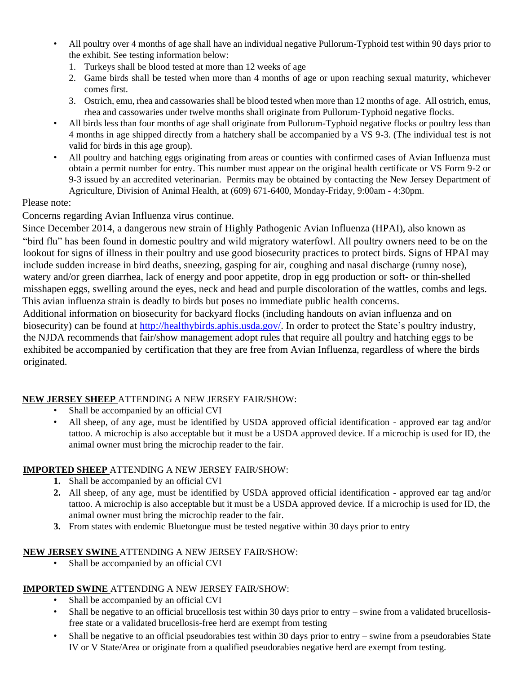- All poultry over 4 months of age shall have an individual negative Pullorum-Typhoid test within 90 days prior to the exhibit. See testing information below:
	- 1. Turkeys shall be blood tested at more than 12 weeks of age
	- 2. Game birds shall be tested when more than 4 months of age or upon reaching sexual maturity, whichever comes first.
	- 3. Ostrich, emu, rhea and cassowaries shall be blood tested when more than 12 months of age. All ostrich, emus, rhea and cassowaries under twelve months shall originate from Pullorum-Typhoid negative flocks.
- All birds less than four months of age shall originate from Pullorum-Typhoid negative flocks or poultry less than 4 months in age shipped directly from a hatchery shall be accompanied by a VS 9-3. (The individual test is not valid for birds in this age group).
- All poultry and hatching eggs originating from areas or counties with confirmed cases of Avian Influenza must obtain a permit number for entry. This number must appear on the original health certificate or VS Form 9-2 or 9-3 issued by an accredited veterinarian. Permits may be obtained by contacting the New Jersey Department of Agriculture, Division of Animal Health, at (609) 671-6400, Monday-Friday, 9:00am - 4:30pm.

#### Please note:

Concerns regarding Avian Influenza virus continue.

Since December 2014, a dangerous new strain of Highly Pathogenic Avian Influenza (HPAI), also known as "bird flu" has been found in domestic poultry and wild migratory waterfowl. All poultry owners need to be on the lookout for signs of illness in their poultry and use good biosecurity practices to protect birds. Signs of HPAI may include sudden increase in bird deaths, sneezing, gasping for air, coughing and nasal discharge (runny nose), watery and/or green diarrhea, lack of energy and poor appetite, drop in egg production or soft- or thin-shelled misshapen eggs, swelling around the eyes, neck and head and purple discoloration of the wattles, combs and legs. This avian influenza strain is deadly to birds but poses no immediate public health concerns.

Additional information on biosecurity for backyard flocks (including handouts on avian influenza and on biosecurity) can be found at [http://healthybirds.aphis.usda.gov/.](http://healthybirds.aphis.usda.gov/) In order to protect the State's poultry industry, the NJDA recommends that fair/show management adopt rules that require all poultry and hatching eggs to be exhibited be accompanied by certification that they are free from Avian Influenza, regardless of where the birds originated.

#### **NEW JERSEY SHEEP** ATTENDING A NEW JERSEY FAIR/SHOW:

- Shall be accompanied by an official CVI
- All sheep, of any age, must be identified by USDA approved official identification approved ear tag and/or tattoo. A microchip is also acceptable but it must be a USDA approved device. If a microchip is used for ID, the animal owner must bring the microchip reader to the fair.

#### **IMPORTED SHEEP** ATTENDING A NEW JERSEY FAIR/SHOW:

- **1.** Shall be accompanied by an official CVI
- **2.** All sheep, of any age, must be identified by USDA approved official identification approved ear tag and/or tattoo. A microchip is also acceptable but it must be a USDA approved device. If a microchip is used for ID, the animal owner must bring the microchip reader to the fair.
- **3.** From states with endemic Bluetongue must be tested negative within 30 days prior to entry

#### **NEW JERSEY SWINE** ATTENDING A NEW JERSEY FAIR/SHOW:

Shall be accompanied by an official CVI

## **IMPORTED SWINE** ATTENDING A NEW JERSEY FAIR/SHOW:

- Shall be accompanied by an official CVI
- Shall be negative to an official brucellosis test within 30 days prior to entry swine from a validated brucellosisfree state or a validated brucellosis-free herd are exempt from testing
- Shall be negative to an official pseudorabies test within 30 days prior to entry swine from a pseudorabies State IV or V State/Area or originate from a qualified pseudorabies negative herd are exempt from testing.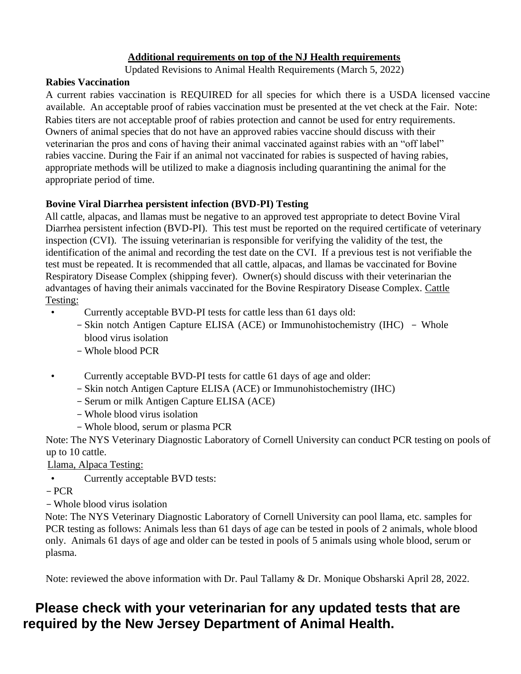## **Additional requirements on top of the NJ Health requirements**

Updated Revisions to Animal Health Requirements (March 5, 2022)

#### **Rabies Vaccination**

A current rabies vaccination is REQUIRED for all species for which there is a USDA licensed vaccine available. An acceptable proof of rabies vaccination must be presented at the vet check at the Fair. Note: Rabies titers are not acceptable proof of rabies protection and cannot be used for entry requirements. Owners of animal species that do not have an approved rabies vaccine should discuss with their veterinarian the pros and cons of having their animal vaccinated against rabies with an "off label" rabies vaccine. During the Fair if an animal not vaccinated for rabies is suspected of having rabies, appropriate methods will be utilized to make a diagnosis including quarantining the animal for the appropriate period of time.

#### **Bovine Viral Diarrhea persistent infection (BVD-PI) Testing**

All cattle, alpacas, and llamas must be negative to an approved test appropriate to detect Bovine Viral Diarrhea persistent infection (BVD-PI). This test must be reported on the required certificate of veterinary inspection (CVI). The issuing veterinarian is responsible for verifying the validity of the test, the identification of the animal and recording the test date on the CVI. If a previous test is not verifiable the test must be repeated. It is recommended that all cattle, alpacas, and llamas be vaccinated for Bovine Respiratory Disease Complex (shipping fever). Owner(s) should discuss with their veterinarian the advantages of having their animals vaccinated for the Bovine Respiratory Disease Complex. Cattle Testing:

- Currently acceptable BVD-PI tests for cattle less than 61 days old:
	- Skin notch Antigen Capture ELISA (ACE) or Immunohistochemistry (IHC) Whole blood virus isolation
	- Whole blood PCR
- Currently acceptable BVD-PI tests for cattle 61 days of age and older:
	- Skin notch Antigen Capture ELISA (ACE) or Immunohistochemistry (IHC)
	- Serum or milk Antigen Capture ELISA (ACE)
	- Whole blood virus isolation
	- Whole blood, serum or plasma PCR

Note: The NYS Veterinary Diagnostic Laboratory of Cornell University can conduct PCR testing on pools of up to 10 cattle.

Llama, Alpaca Testing:

- Currently acceptable BVD tests:
- PCR
- Whole blood virus isolation

Note: The NYS Veterinary Diagnostic Laboratory of Cornell University can pool llama, etc. samples for PCR testing as follows: Animals less than 61 days of age can be tested in pools of 2 animals, whole blood only. Animals 61 days of age and older can be tested in pools of 5 animals using whole blood, serum or plasma.

Note: reviewed the above information with Dr. Paul Tallamy & Dr. Monique Obsharski April 28, 2022.

# **Please check with your veterinarian for any updated tests that are required by the New Jersey Department of Animal Health.**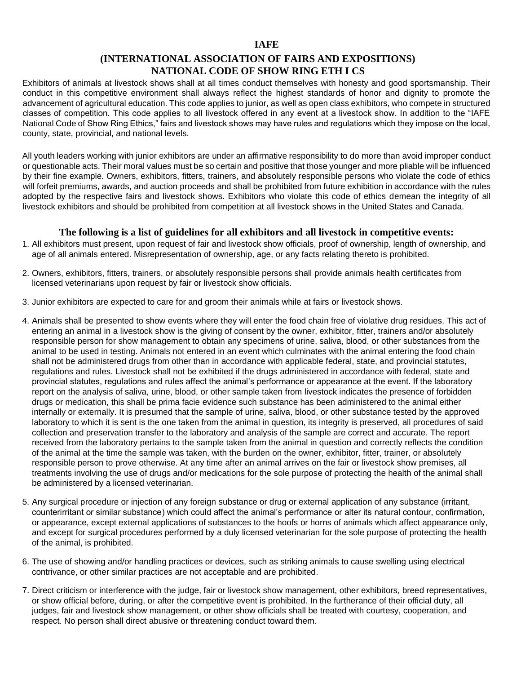#### **IAFE**

#### **(INTERNATIONAL ASSOCIATION OF FAIRS AND EXPOSITIONS) NATIONAL CODE OF SHOW RING ETH I CS**

Exhibitors of animals at livestock shows shall at all times conduct themselves with honesty and good sportsmanship. Their conduct in this competitive environment shall always reflect the highest standards of honor and dignity to promote the advancement of agricultural education. This code applies to junior, as well as open class exhibitors, who compete in structured classes of competition. This code applies to all livestock offered in any event at a livestock show. In addition to the "IAFE National Code of Show Ring Ethics," fairs and livestock shows may have rules and regulations which they impose on the local, county, state, provincial, and national levels.

All youth leaders working with junior exhibitors are under an affirmative responsibility to do more than avoid improper conduct or questionable acts. Their moral values must be so certain and positive that those younger and more pliable will be influenced by their fine example. Owners, exhibitors, fitters, trainers, and absolutely responsible persons who violate the code of ethics will forfeit premiums, awards, and auction proceeds and shall be prohibited from future exhibition in accordance with the rules adopted by the respective fairs and livestock shows. Exhibitors who violate this code of ethics demean the integrity of all livestock exhibitors and should be prohibited from competition at all livestock shows in the United States and Canada.

#### **The following is a list of guidelines for all exhibitors and all livestock in competitive events:**

- 1. All exhibitors must present, upon request of fair and livestock show officials, proof of ownership, length of ownership, and age of all animals entered. Misrepresentation of ownership, age, or any facts relating thereto is prohibited.
- 2. Owners, exhibitors, fitters, trainers, or absolutely responsible persons shall provide animals health certificates from licensed veterinarians upon request by fair or livestock show officials.
- 3. Junior exhibitors are expected to care for and groom their animals while at fairs or livestock shows.
- 4. Animals shall be presented to show events where they will enter the food chain free of violative drug residues. This act of entering an animal in a livestock show is the giving of consent by the owner, exhibitor, fitter, trainers and/or absolutely responsible person for show management to obtain any specimens of urine, saliva, blood, or other substances from the animal to be used in testing. Animals not entered in an event which culminates with the animal entering the food chain shall not be administered drugs from other than in accordance with applicable federal, state, and provincial statutes, regulations and rules. Livestock shall not be exhibited if the drugs administered in accordance with federal, state and provincial statutes, regulations and rules affect the animal's performance or appearance at the event. If the laboratory report on the analysis of saliva, urine, blood, or other sample taken from livestock indicates the presence of forbidden drugs or medication, this shall be prima facie evidence such substance has been administered to the animal either internally or externally. It is presumed that the sample of urine, saliva, blood, or other substance tested by the approved laboratory to which it is sent is the one taken from the animal in question, its integrity is preserved, all procedures of said collection and preservation transfer to the laboratory and analysis of the sample are correct and accurate. The report received from the laboratory pertains to the sample taken from the animal in question and correctly reflects the condition of the animal at the time the sample was taken, with the burden on the owner, exhibitor, fitter, trainer, or absolutely responsible person to prove otherwise. At any time after an animal arrives on the fair or livestock show premises, all treatments involving the use of drugs and/or medications for the sole purpose of protecting the health of the animal shall be administered by a licensed veterinarian.
- 5. Any surgical procedure or injection of any foreign substance or drug or external application of any substance (irritant, counterirritant or similar substance) which could affect the animal's performance or alter its natural contour, confirmation, or appearance, except external applications of substances to the hoofs or horns of animals which affect appearance only, and except for surgical procedures performed by a duly licensed veterinarian for the sole purpose of protecting the health of the animal, is prohibited.
- 6. The use of showing and/or handling practices or devices, such as striking animals to cause swelling using electrical contrivance, or other similar practices are not acceptable and are prohibited.
- 7. Direct criticism or interference with the judge, fair or livestock show management, other exhibitors, breed representatives, or show official before, during, or after the competitive event is prohibited. In the furtherance of their official duty, all judges, fair and livestock show management, or other show officials shall be treated with courtesy, cooperation, and respect. No person shall direct abusive or threatening conduct toward them.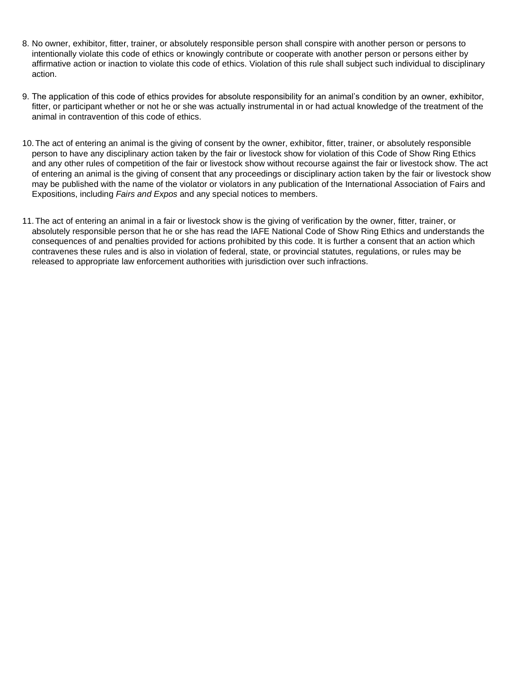- 8. No owner, exhibitor, fitter, trainer, or absolutely responsible person shall conspire with another person or persons to intentionally violate this code of ethics or knowingly contribute or cooperate with another person or persons either by affirmative action or inaction to violate this code of ethics. Violation of this rule shall subject such individual to disciplinary action.
- 9. The application of this code of ethics provides for absolute responsibility for an animal's condition by an owner, exhibitor, fitter, or participant whether or not he or she was actually instrumental in or had actual knowledge of the treatment of the animal in contravention of this code of ethics.
- 10.The act of entering an animal is the giving of consent by the owner, exhibitor, fitter, trainer, or absolutely responsible person to have any disciplinary action taken by the fair or livestock show for violation of this Code of Show Ring Ethics and any other rules of competition of the fair or livestock show without recourse against the fair or livestock show. The act of entering an animal is the giving of consent that any proceedings or disciplinary action taken by the fair or livestock show may be published with the name of the violator or violators in any publication of the International Association of Fairs and Expositions, including *Fairs and Expos* and any special notices to members.
- 11.The act of entering an animal in a fair or livestock show is the giving of verification by the owner, fitter, trainer, or absolutely responsible person that he or she has read the IAFE National Code of Show Ring Ethics and understands the consequences of and penalties provided for actions prohibited by this code. It is further a consent that an action which contravenes these rules and is also in violation of federal, state, or provincial statutes, regulations, or rules may be released to appropriate law enforcement authorities with jurisdiction over such infractions.